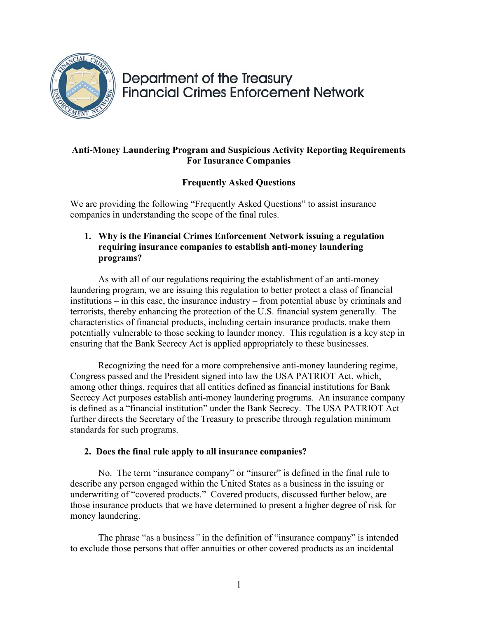

# Department of the Treasury **Financial Crimes Enforcement Network**

# **Anti-Money Laundering Program and Suspicious Activity Reporting Requirements For Insurance Companies**

# **Frequently Asked Questions**

We are providing the following "Frequently Asked Questions" to assist insurance companies in understanding the scope of the final rules.

# **1. Why is the Financial Crimes Enforcement Network issuing a regulation requiring insurance companies to establish anti-money laundering programs?**

As with all of our regulations requiring the establishment of an anti-money laundering program, we are issuing this regulation to better protect a class of financial institutions – in this case, the insurance industry – from potential abuse by criminals and terrorists, thereby enhancing the protection of the U.S. financial system generally. The characteristics of financial products, including certain insurance products, make them potentially vulnerable to those seeking to launder money. This regulation is a key step in ensuring that the Bank Secrecy Act is applied appropriately to these businesses.

Recognizing the need for a more comprehensive anti-money laundering regime, Congress passed and the President signed into law the USA PATRIOT Act, which, among other things, requires that all entities defined as financial institutions for Bank Secrecy Act purposes establish anti-money laundering programs. An insurance company is defined as a "financial institution" under the Bank Secrecy. The USA PATRIOT Act further directs the Secretary of the Treasury to prescribe through regulation minimum standards for such programs.

# **2. Does the final rule apply to all insurance companies?**

No. The term "insurance company" or "insurer" is defined in the final rule to describe any person engaged within the United States as a business in the issuing or underwriting of "covered products." Covered products, discussed further below, are those insurance products that we have determined to present a higher degree of risk for money laundering.

The phrase "as a business*"* in the definition of "insurance company" is intended to exclude those persons that offer annuities or other covered products as an incidental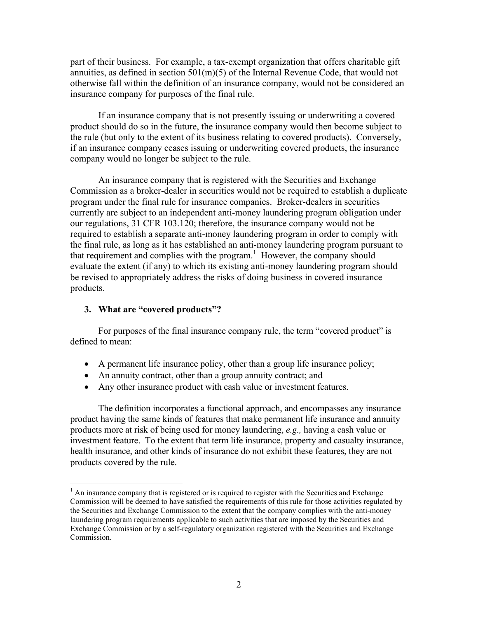part of their business. For example, a tax-exempt organization that offers charitable gift annuities, as defined in section 501(m)(5) of the Internal Revenue Code, that would not otherwise fall within the definition of an insurance company, would not be considered an insurance company for purposes of the final rule.

If an insurance company that is not presently issuing or underwriting a covered product should do so in the future, the insurance company would then become subject to the rule (but only to the extent of its business relating to covered products). Conversely, if an insurance company ceases issuing or underwriting covered products, the insurance company would no longer be subject to the rule.

An insurance company that is registered with the Securities and Exchange Commission as a broker-dealer in securities would not be required to establish a duplicate program under the final rule for insurance companies. Broker-dealers in securities currently are subject to an independent anti-money laundering program obligation under our regulations, 31 CFR 103.120; therefore, the insurance company would not be required to establish a separate anti-money laundering program in order to comply with the final rule, as long as it has established an anti-money laundering program pursuant to that requirement and complies with the program.<sup>1</sup> However, the company should evaluate the extent (if any) to which its existing anti-money laundering program should be revised to appropriately address the risks of doing business in covered insurance products.

#### **3. What are "covered products"?**

 $\overline{a}$ 

For purposes of the final insurance company rule, the term "covered product" is defined to mean:

- A permanent life insurance policy, other than a group life insurance policy;
- An annuity contract, other than a group annuity contract; and
- Any other insurance product with cash value or investment features.

The definition incorporates a functional approach, and encompasses any insurance product having the same kinds of features that make permanent life insurance and annuity products more at risk of being used for money laundering, *e.g.,* having a cash value or investment feature. To the extent that term life insurance, property and casualty insurance, health insurance, and other kinds of insurance do not exhibit these features, they are not products covered by the rule.

 $<sup>1</sup>$  An insurance company that is registered or is required to register with the Securities and Exchange</sup> Commission will be deemed to have satisfied the requirements of this rule for those activities regulated by the Securities and Exchange Commission to the extent that the company complies with the anti-money laundering program requirements applicable to such activities that are imposed by the Securities and Exchange Commission or by a self-regulatory organization registered with the Securities and Exchange Commission.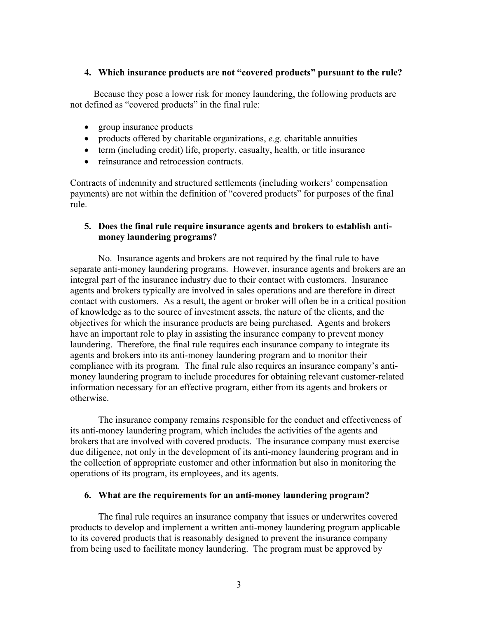#### **4. Which insurance products are not "covered products" pursuant to the rule?**

 Because they pose a lower risk for money laundering, the following products are not defined as "covered products" in the final rule:

- group insurance products
- products offered by charitable organizations, *e.g.* charitable annuities
- term (including credit) life, property, casualty, health, or title insurance
- reinsurance and retrocession contracts

Contracts of indemnity and structured settlements (including workers' compensation payments) are not within the definition of "covered products" for purposes of the final rule.

## **5. Does the final rule require insurance agents and brokers to establish antimoney laundering programs?**

 No. Insurance agents and brokers are not required by the final rule to have separate anti-money laundering programs. However, insurance agents and brokers are an integral part of the insurance industry due to their contact with customers. Insurance agents and brokers typically are involved in sales operations and are therefore in direct contact with customers. As a result, the agent or broker will often be in a critical position of knowledge as to the source of investment assets, the nature of the clients, and the objectives for which the insurance products are being purchased. Agents and brokers have an important role to play in assisting the insurance company to prevent money laundering. Therefore, the final rule requires each insurance company to integrate its agents and brokers into its anti-money laundering program and to monitor their compliance with its program. The final rule also requires an insurance company's antimoney laundering program to include procedures for obtaining relevant customer-related information necessary for an effective program, either from its agents and brokers or otherwise.

The insurance company remains responsible for the conduct and effectiveness of its anti-money laundering program, which includes the activities of the agents and brokers that are involved with covered products. The insurance company must exercise due diligence, not only in the development of its anti-money laundering program and in the collection of appropriate customer and other information but also in monitoring the operations of its program, its employees, and its agents.

#### **6. What are the requirements for an anti-money laundering program?**

The final rule requires an insurance company that issues or underwrites covered products to develop and implement a written anti-money laundering program applicable to its covered products that is reasonably designed to prevent the insurance company from being used to facilitate money laundering. The program must be approved by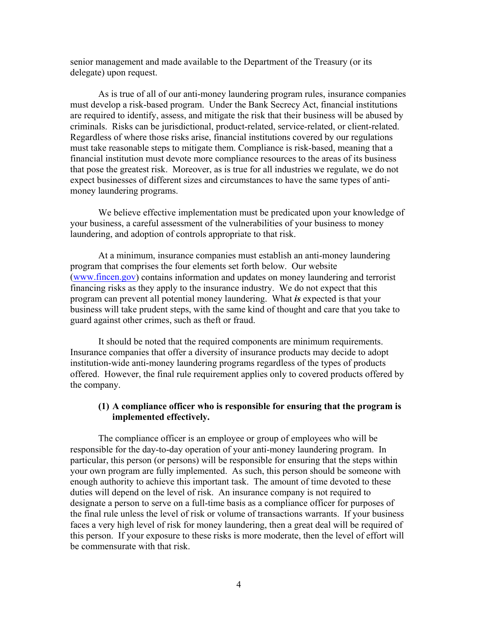senior management and made available to the Department of the Treasury (or its delegate) upon request.

As is true of all of our anti-money laundering program rules, insurance companies must develop a risk-based program. Under the Bank Secrecy Act, financial institutions are required to identify, assess, and mitigate the risk that their business will be abused by criminals. Risks can be jurisdictional, product-related, service-related, or client-related. Regardless of where those risks arise, financial institutions covered by our regulations must take reasonable steps to mitigate them. Compliance is risk-based, meaning that a financial institution must devote more compliance resources to the areas of its business that pose the greatest risk. Moreover, as is true for all industries we regulate, we do not expect businesses of different sizes and circumstances to have the same types of antimoney laundering programs.

We believe effective implementation must be predicated upon your knowledge of your business, a careful assessment of the vulnerabilities of your business to money laundering, and adoption of controls appropriate to that risk.

At a minimum, insurance companies must establish an anti-money laundering program that comprises the four elements set forth below. Our website (www.fincen.gov) contains information and updates on money laundering and terrorist financing risks as they apply to the insurance industry. We do not expect that this program can prevent all potential money laundering. What *is* expected is that your business will take prudent steps, with the same kind of thought and care that you take to guard against other crimes, such as theft or fraud.

It should be noted that the required components are minimum requirements. Insurance companies that offer a diversity of insurance products may decide to adopt institution-wide anti-money laundering programs regardless of the types of products offered. However, the final rule requirement applies only to covered products offered by the company.

## **(1) A compliance officer who is responsible for ensuring that the program is implemented effectively.**

The compliance officer is an employee or group of employees who will be responsible for the day-to-day operation of your anti-money laundering program. In particular, this person (or persons) will be responsible for ensuring that the steps within your own program are fully implemented. As such, this person should be someone with enough authority to achieve this important task. The amount of time devoted to these duties will depend on the level of risk. An insurance company is not required to designate a person to serve on a full-time basis as a compliance officer for purposes of the final rule unless the level of risk or volume of transactions warrants. If your business faces a very high level of risk for money laundering, then a great deal will be required of this person. If your exposure to these risks is more moderate, then the level of effort will be commensurate with that risk.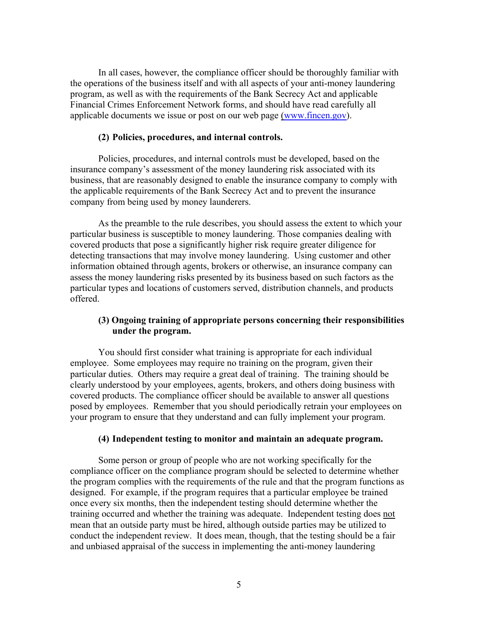In all cases, however, the compliance officer should be thoroughly familiar with the operations of the business itself and with all aspects of your anti-money laundering program, as well as with the requirements of the Bank Secrecy Act and applicable Financial Crimes Enforcement Network forms, and should have read carefully all applicable documents we issue or post on our web page (www.fincen.gov).

## **(2) Policies, procedures, and internal controls.**

Policies, procedures, and internal controls must be developed, based on the insurance company's assessment of the money laundering risk associated with its business, that are reasonably designed to enable the insurance company to comply with the applicable requirements of the Bank Secrecy Act and to prevent the insurance company from being used by money launderers.

 As the preamble to the rule describes, you should assess the extent to which your particular business is susceptible to money laundering. Those companies dealing with covered products that pose a significantly higher risk require greater diligence for detecting transactions that may involve money laundering. Using customer and other information obtained through agents, brokers or otherwise, an insurance company can assess the money laundering risks presented by its business based on such factors as the particular types and locations of customers served, distribution channels, and products offered.

## **(3) Ongoing training of appropriate persons concerning their responsibilities under the program.**

You should first consider what training is appropriate for each individual employee. Some employees may require no training on the program, given their particular duties. Others may require a great deal of training. The training should be clearly understood by your employees, agents, brokers, and others doing business with covered products. The compliance officer should be available to answer all questions posed by employees. Remember that you should periodically retrain your employees on your program to ensure that they understand and can fully implement your program.

#### **(4) Independent testing to monitor and maintain an adequate program.**

Some person or group of people who are not working specifically for the compliance officer on the compliance program should be selected to determine whether the program complies with the requirements of the rule and that the program functions as designed. For example, if the program requires that a particular employee be trained once every six months, then the independent testing should determine whether the training occurred and whether the training was adequate. Independent testing does not mean that an outside party must be hired, although outside parties may be utilized to conduct the independent review. It does mean, though, that the testing should be a fair and unbiased appraisal of the success in implementing the anti-money laundering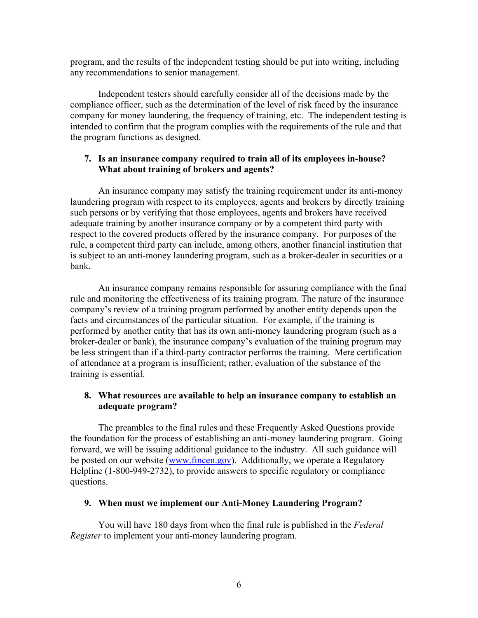program, and the results of the independent testing should be put into writing, including any recommendations to senior management.

Independent testers should carefully consider all of the decisions made by the compliance officer, such as the determination of the level of risk faced by the insurance company for money laundering, the frequency of training, etc. The independent testing is intended to confirm that the program complies with the requirements of the rule and that the program functions as designed.

# **7. Is an insurance company required to train all of its employees in-house? What about training of brokers and agents?**

An insurance company may satisfy the training requirement under its anti-money laundering program with respect to its employees, agents and brokers by directly training such persons or by verifying that those employees, agents and brokers have received adequate training by another insurance company or by a competent third party with respect to the covered products offered by the insurance company. For purposes of the rule, a competent third party can include, among others, another financial institution that is subject to an anti-money laundering program, such as a broker-dealer in securities or a bank.

An insurance company remains responsible for assuring compliance with the final rule and monitoring the effectiveness of its training program. The nature of the insurance company's review of a training program performed by another entity depends upon the facts and circumstances of the particular situation. For example, if the training is performed by another entity that has its own anti-money laundering program (such as a broker-dealer or bank), the insurance company's evaluation of the training program may be less stringent than if a third-party contractor performs the training. Mere certification of attendance at a program is insufficient; rather, evaluation of the substance of the training is essential.

# **8. What resources are available to help an insurance company to establish an adequate program?**

The preambles to the final rules and these Frequently Asked Questions provide the foundation for the process of establishing an anti-money laundering program. Going forward, we will be issuing additional guidance to the industry. All such guidance will be posted on our website (www.fincen.gov). Additionally, we operate a Regulatory Helpline (1-800-949-2732), to provide answers to specific regulatory or compliance questions.

# **9. When must we implement our Anti-Money Laundering Program?**

You will have 180 days from when the final rule is published in the *Federal Register* to implement your anti-money laundering program.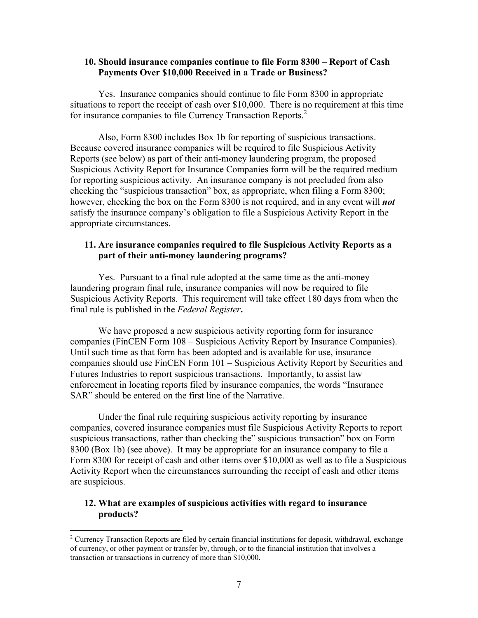#### **10. Should insurance companies continue to file Form 8300** – **Report of Cash Payments Over \$10,000 Received in a Trade or Business?**

Yes. Insurance companies should continue to file Form 8300 in appropriate situations to report the receipt of cash over \$10,000. There is no requirement at this time for insurance companies to file Currency Transaction Reports.<sup>2</sup>

Also, Form 8300 includes Box 1b for reporting of suspicious transactions. Because covered insurance companies will be required to file Suspicious Activity Reports (see below) as part of their anti-money laundering program, the proposed Suspicious Activity Report for Insurance Companies form will be the required medium for reporting suspicious activity. An insurance company is not precluded from also checking the "suspicious transaction" box, as appropriate, when filing a Form 8300; however, checking the box on the Form 8300 is not required, and in any event will *not* satisfy the insurance company's obligation to file a Suspicious Activity Report in the appropriate circumstances.

## **11. Are insurance companies required to file Suspicious Activity Reports as a part of their anti-money laundering programs?**

Yes. Pursuant to a final rule adopted at the same time as the anti-money laundering program final rule, insurance companies will now be required to file Suspicious Activity Reports. This requirement will take effect 180 days from when the final rule is published in the *Federal Register***.** 

We have proposed a new suspicious activity reporting form for insurance companies (FinCEN Form 108 – Suspicious Activity Report by Insurance Companies). Until such time as that form has been adopted and is available for use, insurance companies should use FinCEN Form 101 – Suspicious Activity Report by Securities and Futures Industries to report suspicious transactions. Importantly, to assist law enforcement in locating reports filed by insurance companies, the words "Insurance SAR" should be entered on the first line of the Narrative.

Under the final rule requiring suspicious activity reporting by insurance companies, covered insurance companies must file Suspicious Activity Reports to report suspicious transactions, rather than checking the" suspicious transaction" box on Form 8300 (Box 1b) (see above). It may be appropriate for an insurance company to file a Form 8300 for receipt of cash and other items over \$10,000 as well as to file a Suspicious Activity Report when the circumstances surrounding the receipt of cash and other items are suspicious.

## **12. What are examples of suspicious activities with regard to insurance products?**

1

 $2^2$  Currency Transaction Reports are filed by certain financial institutions for deposit, withdrawal, exchange of currency, or other payment or transfer by, through, or to the financial institution that involves a transaction or transactions in currency of more than \$10,000.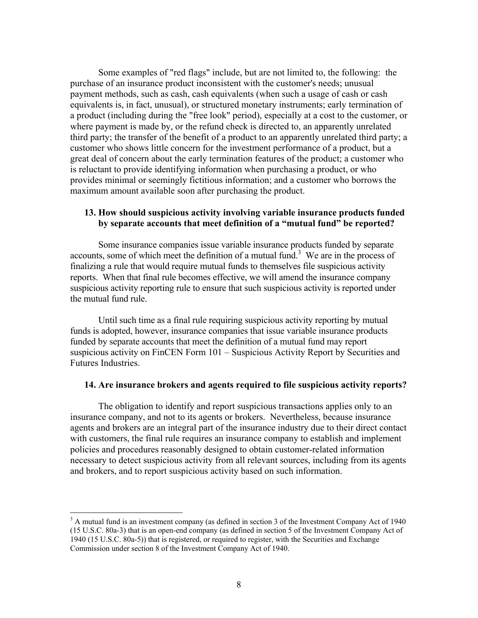Some examples of "red flags" include, but are not limited to, the following: the purchase of an insurance product inconsistent with the customer's needs; unusual payment methods, such as cash, cash equivalents (when such a usage of cash or cash equivalents is, in fact, unusual), or structured monetary instruments; early termination of a product (including during the "free look" period), especially at a cost to the customer, or where payment is made by, or the refund check is directed to, an apparently unrelated third party; the transfer of the benefit of a product to an apparently unrelated third party; a customer who shows little concern for the investment performance of a product, but a great deal of concern about the early termination features of the product; a customer who is reluctant to provide identifying information when purchasing a product, or who provides minimal or seemingly fictitious information; and a customer who borrows the maximum amount available soon after purchasing the product.

## **13. How should suspicious activity involving variable insurance products funded by separate accounts that meet definition of a "mutual fund" be reported?**

Some insurance companies issue variable insurance products funded by separate accounts, some of which meet the definition of a mutual fund.<sup>3</sup> We are in the process of finalizing a rule that would require mutual funds to themselves file suspicious activity reports. When that final rule becomes effective, we will amend the insurance company suspicious activity reporting rule to ensure that such suspicious activity is reported under the mutual fund rule.

Until such time as a final rule requiring suspicious activity reporting by mutual funds is adopted, however, insurance companies that issue variable insurance products funded by separate accounts that meet the definition of a mutual fund may report suspicious activity on FinCEN Form 101 – Suspicious Activity Report by Securities and Futures Industries.

#### **14. Are insurance brokers and agents required to file suspicious activity reports?**

The obligation to identify and report suspicious transactions applies only to an insurance company, and not to its agents or brokers. Nevertheless, because insurance agents and brokers are an integral part of the insurance industry due to their direct contact with customers, the final rule requires an insurance company to establish and implement policies and procedures reasonably designed to obtain customer-related information necessary to detect suspicious activity from all relevant sources, including from its agents and brokers, and to report suspicious activity based on such information.

 $\overline{a}$ 

 $3$  A mutual fund is an investment company (as defined in section 3 of the Investment Company Act of 1940 (15 U.S.C. 80a-3) that is an open-end company (as defined in section 5 of the Investment Company Act of 1940 (15 U.S.C. 80a-5)) that is registered, or required to register, with the Securities and Exchange Commission under section 8 of the Investment Company Act of 1940.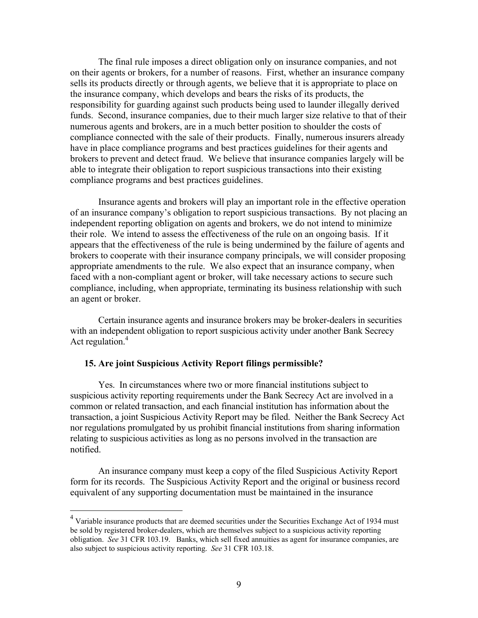The final rule imposes a direct obligation only on insurance companies, and not on their agents or brokers, for a number of reasons. First, whether an insurance company sells its products directly or through agents, we believe that it is appropriate to place on the insurance company, which develops and bears the risks of its products, the responsibility for guarding against such products being used to launder illegally derived funds. Second, insurance companies, due to their much larger size relative to that of their numerous agents and brokers, are in a much better position to shoulder the costs of compliance connected with the sale of their products. Finally, numerous insurers already have in place compliance programs and best practices guidelines for their agents and brokers to prevent and detect fraud. We believe that insurance companies largely will be able to integrate their obligation to report suspicious transactions into their existing compliance programs and best practices guidelines.

Insurance agents and brokers will play an important role in the effective operation of an insurance company's obligation to report suspicious transactions. By not placing an independent reporting obligation on agents and brokers, we do not intend to minimize their role. We intend to assess the effectiveness of the rule on an ongoing basis. If it appears that the effectiveness of the rule is being undermined by the failure of agents and brokers to cooperate with their insurance company principals, we will consider proposing appropriate amendments to the rule. We also expect that an insurance company, when faced with a non-compliant agent or broker, will take necessary actions to secure such compliance, including, when appropriate, terminating its business relationship with such an agent or broker.

Certain insurance agents and insurance brokers may be broker-dealers in securities with an independent obligation to report suspicious activity under another Bank Secrecy Act regulation. $4$ 

## **15. Are joint Suspicious Activity Report filings permissible?**

1

Yes. In circumstances where two or more financial institutions subject to suspicious activity reporting requirements under the Bank Secrecy Act are involved in a common or related transaction, and each financial institution has information about the transaction, a joint Suspicious Activity Report may be filed. Neither the Bank Secrecy Act nor regulations promulgated by us prohibit financial institutions from sharing information relating to suspicious activities as long as no persons involved in the transaction are notified.

An insurance company must keep a copy of the filed Suspicious Activity Report form for its records. The Suspicious Activity Report and the original or business record equivalent of any supporting documentation must be maintained in the insurance

<sup>&</sup>lt;sup>4</sup> Variable insurance products that are deemed securities under the Securities Exchange Act of 1934 must be sold by registered broker-dealers, which are themselves subject to a suspicious activity reporting obligation. *See* 31 CFR 103.19. Banks, which sell fixed annuities as agent for insurance companies, are also subject to suspicious activity reporting. *See* 31 CFR 103.18.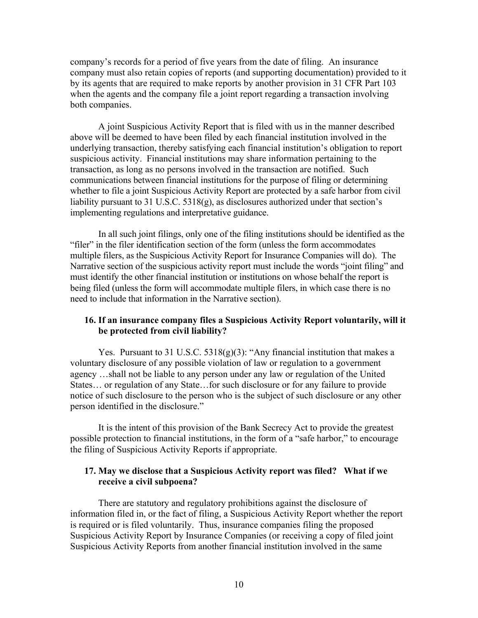company's records for a period of five years from the date of filing. An insurance company must also retain copies of reports (and supporting documentation) provided to it by its agents that are required to make reports by another provision in 31 CFR Part 103 when the agents and the company file a joint report regarding a transaction involving both companies.

A joint Suspicious Activity Report that is filed with us in the manner described above will be deemed to have been filed by each financial institution involved in the underlying transaction, thereby satisfying each financial institution's obligation to report suspicious activity. Financial institutions may share information pertaining to the transaction, as long as no persons involved in the transaction are notified. Such communications between financial institutions for the purpose of filing or determining whether to file a joint Suspicious Activity Report are protected by a safe harbor from civil liability pursuant to 31 U.S.C. 5318(g), as disclosures authorized under that section's implementing regulations and interpretative guidance.

In all such joint filings, only one of the filing institutions should be identified as the "filer" in the filer identification section of the form (unless the form accommodates multiple filers, as the Suspicious Activity Report for Insurance Companies will do). The Narrative section of the suspicious activity report must include the words "joint filing" and must identify the other financial institution or institutions on whose behalf the report is being filed (unless the form will accommodate multiple filers, in which case there is no need to include that information in the Narrative section).

## **16. If an insurance company files a Suspicious Activity Report voluntarily, will it be protected from civil liability?**

Yes. Pursuant to 31 U.S.C.  $5318(g)(3)$ : "Any financial institution that makes a voluntary disclosure of any possible violation of law or regulation to a government agency …shall not be liable to any person under any law or regulation of the United States… or regulation of any State…for such disclosure or for any failure to provide notice of such disclosure to the person who is the subject of such disclosure or any other person identified in the disclosure."

It is the intent of this provision of the Bank Secrecy Act to provide the greatest possible protection to financial institutions, in the form of a "safe harbor," to encourage the filing of Suspicious Activity Reports if appropriate.

#### **17. May we disclose that a Suspicious Activity report was filed? What if we receive a civil subpoena?**

There are statutory and regulatory prohibitions against the disclosure of information filed in, or the fact of filing, a Suspicious Activity Report whether the report is required or is filed voluntarily. Thus, insurance companies filing the proposed Suspicious Activity Report by Insurance Companies (or receiving a copy of filed joint Suspicious Activity Reports from another financial institution involved in the same